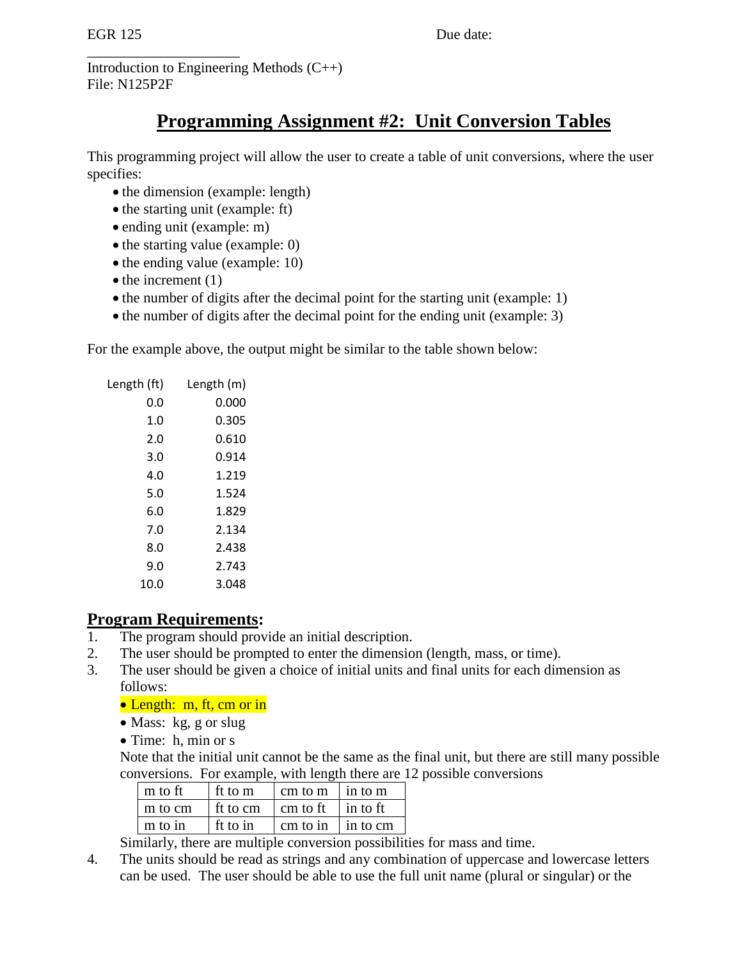Introduction to Engineering Methods (C++) File: N125P2F

# **Programming Assignment #2: Unit Conversion Tables**

This programming project will allow the user to create a table of unit conversions, where the user specifies:

- the dimension (example: length)
- the starting unit (example: ft)
- ending unit (example: m)
- the starting value (example: 0)
- the ending value (example: 10)
- $\bullet$  the increment (1)

\_\_\_\_\_\_\_\_\_\_\_\_\_\_\_\_\_\_\_\_\_

- the number of digits after the decimal point for the starting unit (example: 1)
- the number of digits after the decimal point for the ending unit (example: 3)

For the example above, the output might be similar to the table shown below:

| Length (ft) | Length (m) |
|-------------|------------|
| 0.0         | 0.000      |
| 1.0         | 0.305      |
| 2.0         | 0.610      |
| 3.0         | 0.914      |
| 4.0         | 1.219      |
| 5.0         | 1.524      |
| 6.0         | 1.829      |
| 7.0         | 2.134      |
| 8.0         | 2.438      |
| 9.0         | 2.743      |
| 10.0        | 3.048      |

### **Program Requirements:**

- 1. The program should provide an initial description.
- 2. The user should be prompted to enter the dimension (length, mass, or time).
- 3. The user should be given a choice of initial units and final units for each dimension as follows:

#### • Length: m, ft, cm or in

- Mass: kg, g or slug
- Time: h, min or s

Note that the initial unit cannot be the same as the final unit, but there are still many possible conversions. For example, with length there are 12 possible conversions

| m to ft | ft to m                                         | $\vert$ cm to m $\vert$ in to m   |  |
|---------|-------------------------------------------------|-----------------------------------|--|
| m to cm | $\int$ ft to cm $\int$ cm to ft $\int$ in to ft |                                   |  |
| m to in | ft to in                                        | $\vert$ cm to in $\vert$ in to cm |  |

Similarly, there are multiple conversion possibilities for mass and time.

4. The units should be read as strings and any combination of uppercase and lowercase letters can be used. The user should be able to use the full unit name (plural or singular) or the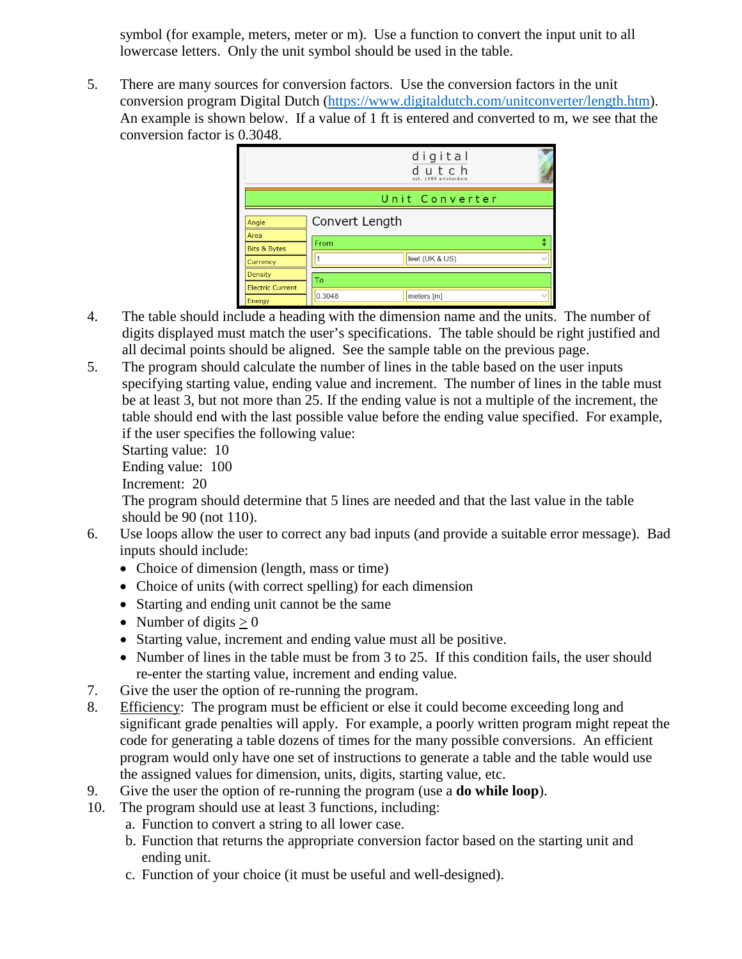symbol (for example, meters, meter or m). Use a function to convert the input unit to all lowercase letters. Only the unit symbol should be used in the table.

5. There are many sources for conversion factors. Use the conversion factors in the unit conversion program Digital Dutch [\(https://www.digitaldutch.com/unitconverter/length.htm\)](https://www.digitaldutch.com/unitconverter/length.htm). An example is shown below. If a value of 1 ft is entered and converted to m, we see that the conversion factor is 0.3048.

|                                   |                | digital<br>dutch<br>est. 1999 amsterdam |  |
|-----------------------------------|----------------|-----------------------------------------|--|
|                                   |                | Unit Converter                          |  |
| Angle<br>Area                     | Convert Length |                                         |  |
| <b>Bits &amp; Bytes</b>           | From           |                                         |  |
| Currency                          |                | feet (UK & US)                          |  |
| Density                           | To             |                                         |  |
| <b>Electric Current</b><br>Energy | 0.3048         | meters [m]                              |  |

- 4. The table should include a heading with the dimension name and the units. The number of digits displayed must match the user's specifications. The table should be right justified and all decimal points should be aligned. See the sample table on the previous page.
- 5. The program should calculate the number of lines in the table based on the user inputs specifying starting value, ending value and increment. The number of lines in the table must be at least 3, but not more than 25. If the ending value is not a multiple of the increment, the table should end with the last possible value before the ending value specified. For example, if the user specifies the following value:

Starting value: 10

Ending value: 100

Increment: 20

The program should determine that 5 lines are needed and that the last value in the table should be 90 (not 110).

- 6. Use loops allow the user to correct any bad inputs (and provide a suitable error message). Bad inputs should include:
	- Choice of dimension (length, mass or time)
	- Choice of units (with correct spelling) for each dimension
	- Starting and ending unit cannot be the same
	- Number of digits  $> 0$
	- Starting value, increment and ending value must all be positive.
	- Number of lines in the table must be from 3 to 25. If this condition fails, the user should re-enter the starting value, increment and ending value.
- 7. Give the user the option of re-running the program.
- 8. Efficiency: The program must be efficient or else it could become exceeding long and significant grade penalties will apply. For example, a poorly written program might repeat the code for generating a table dozens of times for the many possible conversions. An efficient program would only have one set of instructions to generate a table and the table would use the assigned values for dimension, units, digits, starting value, etc.
- 9. Give the user the option of re-running the program (use a **do while loop**).
- 10. The program should use at least 3 functions, including:
	- a. Function to convert a string to all lower case.
	- b. Function that returns the appropriate conversion factor based on the starting unit and ending unit.
	- c. Function of your choice (it must be useful and well-designed).